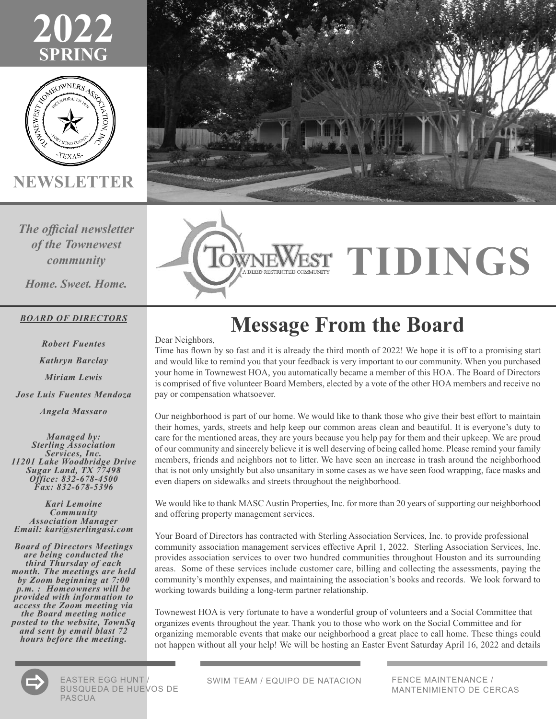



**NEWSLETTER**

*The official newsletter of the Townewest community*

*Home. Sweet. Home.*

#### *BOARD OF DIRECTORS*

*Robert Fuentes Kathryn Barclay Miriam Lewis Jose Luis Fuentes Mendoza Angela Massaro*

*Managed by: Sterling Association Services, Inc. <sup>11201</sup> Lake Woodbridge Drive Sugar Land, TX 77498 Office: 832-678-4500 Fax: 832-678-5396*

*Kari Lemoine Community Association Manager Email: kari@sterlingasi.com*

*Board of Directors Meetings are being conducted the third Thursday of each month. The meetings are held by Zoom beginning at 7:00 p.m. : Homeowners will be provided with information to access the Zoom meeting via the Board meeting notice posted to the website, TownSq and sent by email blast 72 hours before the meeting.*





# **TIDINGS**

## **Message From the Board**

Dear Neighbors,

Time has flown by so fast and it is already the third month of 2022! We hope it is off to a promising start and would like to remind you that your feedback is very important to our community. When you purchased your home in Townewest HOA, you automatically became a member of this HOA. The Board of Directors is comprised of five volunteer Board Members, elected by a vote of the other HOA members and receive no pay or compensation whatsoever.

Our neighborhood is part of our home. We would like to thank those who give their best effort to maintain their homes, yards, streets and help keep our common areas clean and beautiful. It is everyone's duty to care for the mentioned areas, they are yours because you help pay for them and their upkeep. We are proud of our community and sincerely believe it is well deserving of being called home. Please remind your family members, friends and neighbors not to litter. We have seen an increase in trash around the neighborhood that is not only unsightly but also unsanitary in some cases as we have seen food wrapping, face masks and even diapers on sidewalks and streets throughout the neighborhood.

We would like to thank MASC Austin Properties, Inc. for more than 20 years of supporting our neighborhood and offering property management services.

Your Board of Directors has contracted with Sterling Association Services, Inc. to provide professional community association management services effective April 1, 2022. Sterling Association Services, Inc. provides association services to over two hundred communities throughout Houston and its surrounding areas. Some of these services include customer care, billing and collecting the assessments, paying the community's monthly expenses, and maintaining the association's books and records. We look forward to working towards building a long-term partner relationship.

Townewest HOA is very fortunate to have a wonderful group of volunteers and a Social Committee that organizes events throughout the year. Thank you to those who work on the Social Committee and for organizing memorable events that make our neighborhood a great place to call home. These things could not happen without all your help! We will be hosting an Easter Event Saturday April 16, 2022 and details



EASTER EGG HUNT EASTER EGG HUNT / SWIM TEAM / EQUIPO DE NATACION<br>BUSQUEDA DE HUEVOS DE PASCUA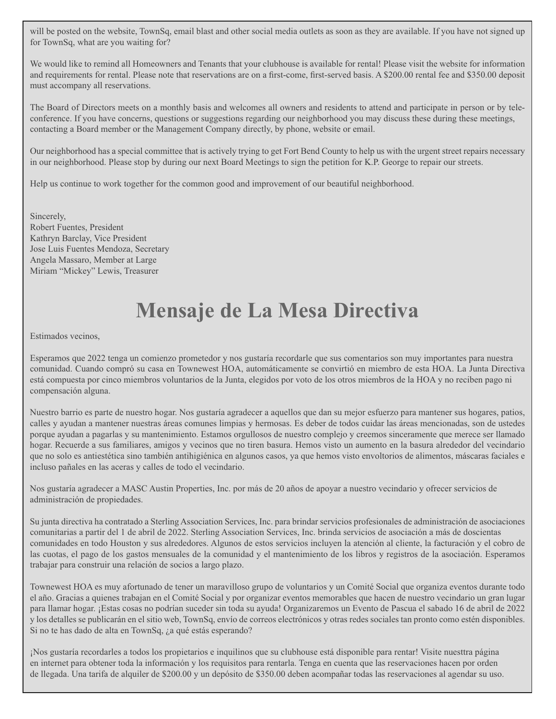will be posted on the website, TownSq, email blast and other social media outlets as soon as they are available. If you have not signed up for TownSq, what are you waiting for?

We would like to remind all Homeowners and Tenants that your clubhouse is available for rental! Please visit the website for information and requirements for rental. Please note that reservations are on a first-come, first-served basis. A \$200.00 rental fee and \$350.00 deposit must accompany all reservations.

The Board of Directors meets on a monthly basis and welcomes all owners and residents to attend and participate in person or by teleconference. If you have concerns, questions or suggestions regarding our neighborhood you may discuss these during these meetings, contacting a Board member or the Management Company directly, by phone, website or email.

Our neighborhood has a special committee that is actively trying to get Fort Bend County to help us with the urgent street repairs necessary in our neighborhood. Please stop by during our next Board Meetings to sign the petition for K.P. George to repair our streets.

Help us continue to work together for the common good and improvement of our beautiful neighborhood.

Sincerely, Robert Fuentes, President Kathryn Barclay, Vice President Jose Luis Fuentes Mendoza, Secretary Angela Massaro, Member at Large Miriam "Mickey" Lewis, Treasurer

## **Mensaje de La Mesa Directiva**

Estimados vecinos,

Esperamos que 2022 tenga un comienzo prometedor y nos gustaría recordarle que sus comentarios son muy importantes para nuestra comunidad. Cuando compró su casa en Townewest HOA, automáticamente se convirtió en miembro de esta HOA. La Junta Directiva está compuesta por cinco miembros voluntarios de la Junta, elegidos por voto de los otros miembros de la HOA y no reciben pago ni compensación alguna.

Nuestro barrio es parte de nuestro hogar. Nos gustaría agradecer a aquellos que dan su mejor esfuerzo para mantener sus hogares, patios, calles y ayudan a mantener nuestras áreas comunes limpias y hermosas. Es deber de todos cuidar las áreas mencionadas, son de ustedes porque ayudan a pagarlas y su mantenimiento. Estamos orgullosos de nuestro complejo y creemos sinceramente que merece ser llamado hogar. Recuerde a sus familiares, amigos y vecinos que no tiren basura. Hemos visto un aumento en la basura alrededor del vecindario que no solo es antiestética sino también antihigiénica en algunos casos, ya que hemos visto envoltorios de alimentos, máscaras faciales e incluso pañales en las aceras y calles de todo el vecindario.

Nos gustaría agradecer a MASC Austin Properties, Inc. por más de 20 años de apoyar a nuestro vecindario y ofrecer servicios de administración de propiedades.

Su junta directiva ha contratado a Sterling Association Services, Inc. para brindar servicios profesionales de administración de asociaciones comunitarias a partir del 1 de abril de 2022. Sterling Association Services, Inc. brinda servicios de asociación a más de doscientas comunidades en todo Houston y sus alrededores. Algunos de estos servicios incluyen la atención al cliente, la facturación y el cobro de las cuotas, el pago de los gastos mensuales de la comunidad y el mantenimiento de los libros y registros de la asociación. Esperamos trabajar para construir una relación de socios a largo plazo.

Townewest HOA es muy afortunado de tener un maravilloso grupo de voluntarios y un Comité Social que organiza eventos durante todo el año. Gracias a quienes trabajan en el Comité Social y por organizar eventos memorables que hacen de nuestro vecindario un gran lugar para llamar hogar. ¡Estas cosas no podrían suceder sin toda su ayuda! Organizaremos un Evento de Pascua el sabado 16 de abril de 2022 y los detalles se publicarán en el sitio web, TownSq, envío de correos electrónicos y otras redes sociales tan pronto como estén disponibles. Si no te has dado de alta en TownSq, ¿a qué estás esperando?

¡Nos gustaría recordarles a todos los propietarios e inquilinos que su clubhouse está disponible para rentar! Visite nuesttra página en internet para obtener toda la información y los requisitos para rentarla. Tenga en cuenta que las reservaciones hacen por orden de llegada. Una tarifa de alquiler de \$200.00 y un depósito de \$350.00 deben acompañar todas las reservaciones al agendar su uso.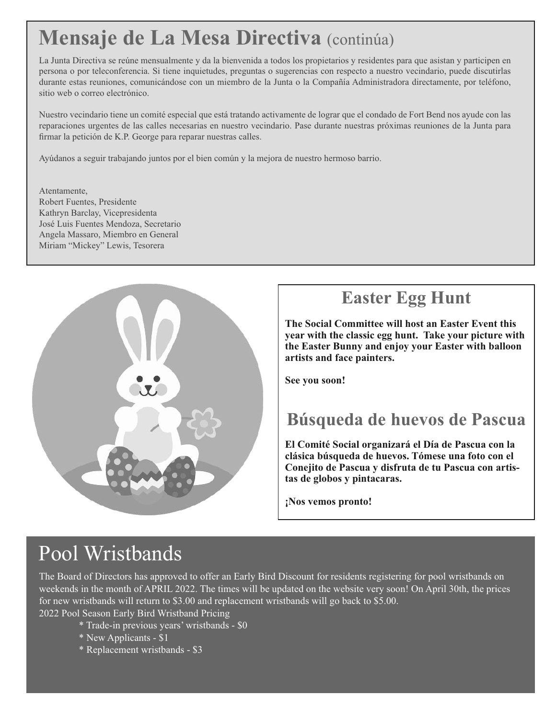## **Mensaje de La Mesa Directiva** (continúa)

La Junta Directiva se reúne mensualmente y da la bienvenida a todos los propietarios y residentes para que asistan y participen en persona o por teleconferencia. Si tiene inquietudes, preguntas o sugerencias con respecto a nuestro vecindario, puede discutirlas durante estas reuniones, comunicándose con un miembro de la Junta o la Compañía Administradora directamente, por teléfono, sitio web o correo electrónico.

Nuestro vecindario tiene un comité especial que está tratando activamente de lograr que el condado de Fort Bend nos ayude con las reparaciones urgentes de las calles necesarias en nuestro vecindario. Pase durante nuestras próximas reuniones de la Junta para firmar la petición de K.P. George para reparar nuestras calles.

Ayúdanos a seguir trabajando juntos por el bien común y la mejora de nuestro hermoso barrio.

Atentamente, Robert Fuentes, Presidente Kathryn Barclay, Vicepresidenta José Luis Fuentes Mendoza, Secretario Angela Massaro, Miembro en General Miriam "Mickey" Lewis, Tesorera



#### **Easter Egg Hunt**

**The Social Committee will host an Easter Event this year with the classic egg hunt. Take your picture with the Easter Bunny and enjoy your Easter with balloon artists and face painters.**

**See you soon!**

#### **Búsqueda de huevos de Pascua**

**El Comité Social organizará el Día de Pascua con la clásica búsqueda de huevos. Tómese una foto con el Conejito de Pascua y disfruta de tu Pascua con artistas de globos y pintacaras.**

**¡Nos vemos pronto!**

## Pool Wristbands

The Board of Directors has approved to offer an Early Bird Discount for residents registering for pool wristbands on weekends in the month of APRIL 2022. The times will be updated on the website very soon! On April 30th, the prices for new wristbands will return to \$3.00 and replacement wristbands will go back to \$5.00.

2022 Pool Season Early Bird Wristband Pricing

- \* Trade-in previous years' wristbands \$0
- \* New Applicants \$1
- \* Replacement wristbands \$3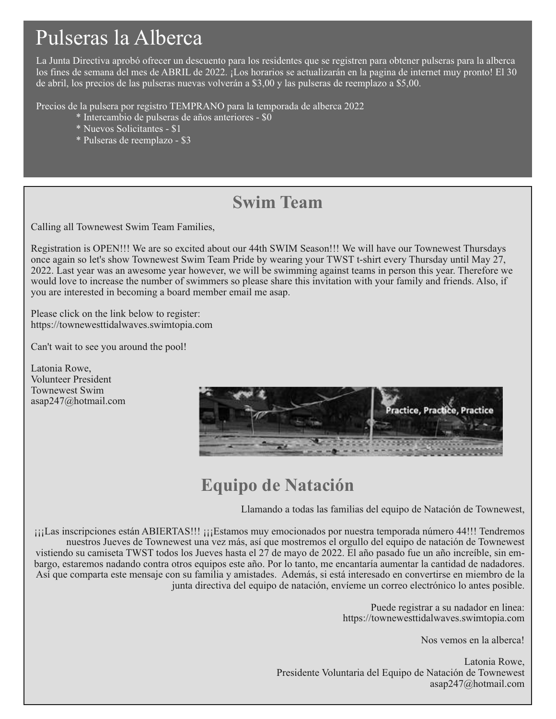## Pulseras la Alberca

La Junta Directiva aprobó ofrecer un descuento para los residentes que se registren para obtener pulseras para la alberca los fines de semana del mes de ABRIL de 2022. ¡Los horarios se actualizarán en la pagina de internet muy pronto! El 30 de abril, los precios de las pulseras nuevas volverán a \$3,00 y las pulseras de reemplazo a \$5,00.

Precios de la pulsera por registro TEMPRANO para la temporada de alberca 2022

- \* Intercambio de pulseras de años anteriores \$0
- \* Nuevos Solicitantes \$1
- \* Pulseras de reemplazo \$3

#### **Swim Team**

Calling all Townewest Swim Team Families,

Registration is OPEN!!! We are so excited about our 44th SWIM Season!!! We will have our Townewest Thursdays once again so let's show Townewest Swim Team Pride by wearing your TWST t-shirt every Thursday until May 27, 2022. Last year was an awesome year however, we will be swimming against teams in person this year. Therefore we would love to increase the number of swimmers so please share this invitation with your family and friends. Also, if you are interested in becoming a board member email me asap.

Please click on the link below to register: https://townewesttidalwaves.swimtopia.com

Can't wait to see you around the pool!

Latonia Rowe, Volunteer President Townewest Swim asap247@hotmail.com



#### **Equipo de Natación**

Llamando a todas las familias del equipo de Natación de Townewest,

¡¡¡Las inscripciones están ABIERTAS!!! ¡¡¡Estamos muy emocionados por nuestra temporada número 44!!! Tendremos nuestros Jueves de Townewest una vez más, así que mostremos el orgullo del equipo de natación de Townewest vistiendo su camiseta TWST todos los Jueves hasta el 27 de mayo de 2022. El año pasado fue un año increíble, sin embargo, estaremos nadando contra otros equipos este año. Por lo tanto, me encantaría aumentar la cantidad de nadadores. Así que comparta este mensaje con su familia y amistades. Además, si está interesado en convertirse en miembro de la junta directiva del equipo de natación, envíeme un correo electrónico lo antes posible.

> Puede registrar a su nadador en linea: https://townewesttidalwaves.swimtopia.com

> > Nos vemos en la alberca!

Latonia Rowe, Presidente Voluntaria del Equipo de Natación de Townewest asap247@hotmail.com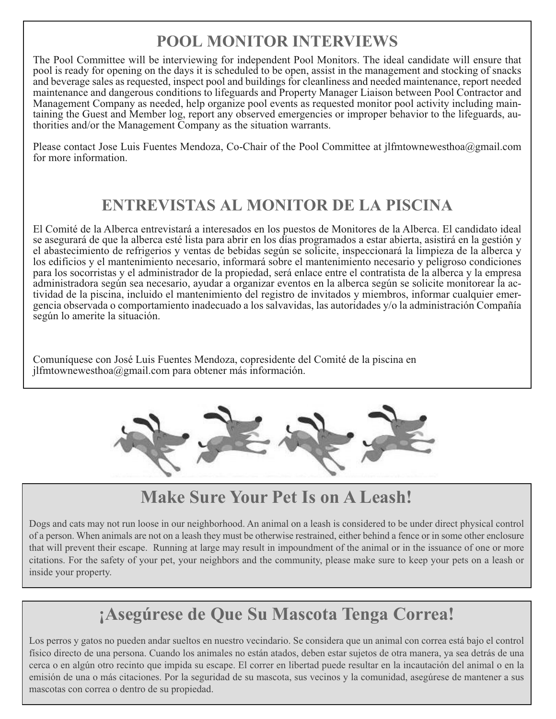#### **POOL MONITOR INTERVIEWS**

The Pool Committee will be interviewing for independent Pool Monitors. The ideal candidate will ensure that pool is ready for opening on the days it is scheduled to be open, assist in the management and stocking of snacks and beverage sales as requested, inspect pool and buildings for cleanliness and needed maintenance, report needed maintenance and dangerous conditions to lifeguards and Property Manager Liaison between Pool Contractor and Management Company as needed, help organize pool events as requested monitor pool activity including maintaining the Guest and Member log, report any observed emergencies or improper behavior to the lifeguards, authorities and/or the Management Company as the situation warrants.

Please contact Jose Luis Fuentes Mendoza, Co-Chair of the Pool Committee at jlfmtownewesthoa@gmail.com for more information.

#### **ENTREVISTAS AL MONITOR DE LA PISCINA**

El Comité de la Alberca entrevistará a interesados en los puestos de Monitores de la Alberca. El candidato ideal se asegurará de que la alberca esté lista para abrir en los días programados a estar abierta, asistirá en la gestión y el abastecimiento de refrigerios y ventas de bebidas según se solicite, inspeccionará la limpieza de la alberca y los edificios y el mantenimiento necesario, informará sobre el mantenimiento necesario y peligroso condiciones para los socorristas y el administrador de la propiedad, será enlace entre el contratista de la alberca y la empresa administradora según sea necesario, ayudar a organizar eventos en la alberca según se solicite monitorear la actividad de la piscina, incluido el mantenimiento del registro de invitados y miembros, informar cualquier emergencia observada o comportamiento inadecuado a los salvavidas, las autoridades y/o la administración Compañía según lo amerite la situación.

Comuníquese con José Luis Fuentes Mendoza, copresidente del Comité de la piscina en jlfmtownewesthoa@gmail.com para obtener más información.



#### **Make Sure Your Pet Is on A Leash!**

Dogs and cats may not run loose in our neighborhood. An animal on a leash is considered to be under direct physical control of a person. When animals are not on a leash they must be otherwise restrained, either behind a fence or in some other enclosure that will prevent their escape. Running at large may result in impoundment of the animal or in the issuance of one or more citations. For the safety of your pet, your neighbors and the community, please make sure to keep your pets on a leash or inside your property.

#### **¡Asegúrese de Que Su Mascota Tenga Correa!**

Los perros y gatos no pueden andar sueltos en nuestro vecindario. Se considera que un animal con correa está bajo el control físico directo de una persona. Cuando los animales no están atados, deben estar sujetos de otra manera, ya sea detrás de una cerca o en algún otro recinto que impida su escape. El correr en libertad puede resultar en la incautación del animal o en la emisión de una o más citaciones. Por la seguridad de su mascota, sus vecinos y la comunidad, asegúrese de mantener a sus mascotas con correa o dentro de su propiedad.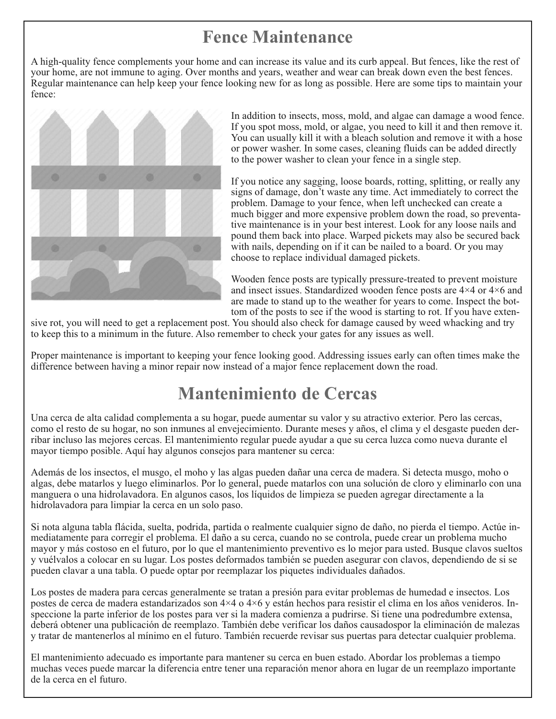#### **Fence Maintenance**

A high-quality fence complements your home and can increase its value and its curb appeal. But fences, like the rest of your home, are not immune to aging. Over months and years, weather and wear can break down even the best fences. Regular maintenance can help keep your fence looking new for as long as possible. Here are some tips to maintain your fence:



In addition to insects, moss, mold, and algae can damage a wood fence. If you spot moss, mold, or algae, you need to kill it and then remove it. You can usually kill it with a bleach solution and remove it with a hose or power washer. In some cases, cleaning fluids can be added directly to the power washer to clean your fence in a single step.

If you notice any sagging, loose boards, rotting, splitting, or really any signs of damage, don't waste any time. Act immediately to correct the problem. Damage to your fence, when left unchecked can create a much bigger and more expensive problem down the road, so preventative maintenance is in your best interest. Look for any loose nails and pound them back into place. Warped pickets may also be secured back with nails, depending on if it can be nailed to a board. Or you may choose to replace individual damaged pickets.

Wooden fence posts are typically pressure-treated to prevent moisture and insect issues. Standardized wooden fence posts are 4×4 or 4×6 and are made to stand up to the weather for years to come. Inspect the bottom of the posts to see if the wood is starting to rot. If you have exten-

sive rot, you will need to get a replacement post. You should also check for damage caused by weed whacking and try to keep this to a minimum in the future. Also remember to check your gates for any issues as well.

Proper maintenance is important to keeping your fence looking good. Addressing issues early can often times make the difference between having a minor repair now instead of a major fence replacement down the road.

#### **Mantenimiento de Cercas**

Una cerca de alta calidad complementa a su hogar, puede aumentar su valor y su atractivo exterior. Pero las cercas, como el resto de su hogar, no son inmunes al envejecimiento. Durante meses y años, el clima y el desgaste pueden derribar incluso las mejores cercas. El mantenimiento regular puede ayudar a que su cerca luzca como nueva durante el mayor tiempo posible. Aquí hay algunos consejos para mantener su cerca:

Además de los insectos, el musgo, el moho y las algas pueden dañar una cerca de madera. Si detecta musgo, moho o algas, debe matarlos y luego eliminarlos. Por lo general, puede matarlos con una solución de cloro y eliminarlo con una manguera o una hidrolavadora. En algunos casos, los líquidos de limpieza se pueden agregar directamente a la hidrolavadora para limpiar la cerca en un solo paso.

Si nota alguna tabla flácida, suelta, podrida, partida o realmente cualquier signo de daño, no pierda el tiempo. Actúe inmediatamente para corregir el problema. El daño a su cerca, cuando no se controla, puede crear un problema mucho mayor y más costoso en el futuro, por lo que el mantenimiento preventivo es lo mejor para usted. Busque clavos sueltos y vuélvalos a colocar en su lugar. Los postes deformados también se pueden asegurar con clavos, dependiendo de si se pueden clavar a una tabla. O puede optar por reemplazar los piquetes individuales dañados.

Los postes de madera para cercas generalmente se tratan a presión para evitar problemas de humedad e insectos. Los postes de cerca de madera estandarizados son 4×4 o 4×6 y están hechos para resistir el clima en los años venideros. Inspeccione la parte inferior de los postes para ver si la madera comienza a pudrirse. Si tiene una podredumbre extensa, deberá obtener una publicación de reemplazo. También debe verificar los daños causadospor la eliminación de malezas y tratar de mantenerlos al mínimo en el futuro. También recuerde revisar sus puertas para detectar cualquier problema.

El mantenimiento adecuado es importante para mantener su cerca en buen estado. Abordar los problemas a tiempo muchas veces puede marcar la diferencia entre tener una reparación menor ahora en lugar de un reemplazo importante de la cerca en el futuro.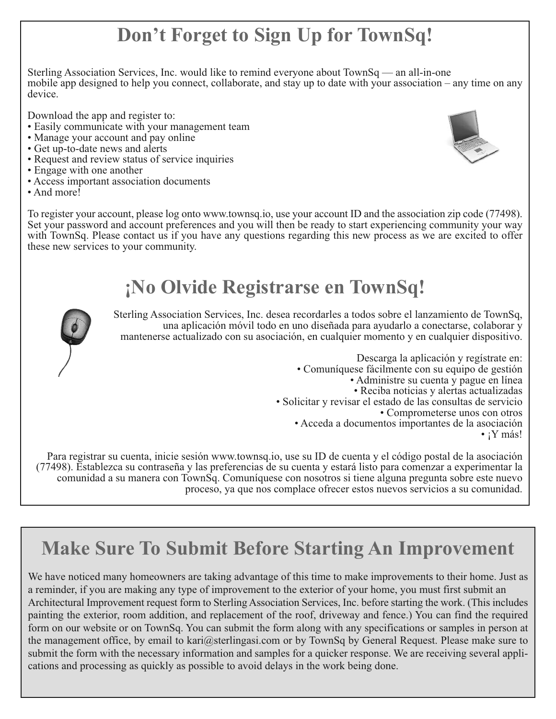## **Don't Forget to Sign Up for TownSq!**

Sterling Association Services, Inc. would like to remind everyone about TownSq — an all-in-one mobile app designed to help you connect, collaborate, and stay up to date with your association – any time on any device.

Download the app and register to:

- Easily communicate with your management team
- Manage your account and pay online
- Get up-to-date news and alerts
- Request and review status of service inquiries
- Engage with one another
- Access important association documents
- And more!



To register your account, please log onto www.townsq.io, use your account ID and the association zip code (77498). Set your password and account preferences and you will then be ready to start experiencing community your way with TownSq. Please contact us if you have any questions regarding this new process as we are excited to offer these new services to your community.

## **¡No Olvide Registrarse en TownSq!**



Sterling Association Services, Inc. desea recordarles <sup>a</sup> todos sobre el lanzamiento de TownSq, una aplicación móvil todo en uno diseñada para ayudarlo <sup>a</sup> conectarse, colaborar <sup>y</sup> mantenerse actualizado con su asociación, en cualquier momento y en cualquier dispositivo.

Descarga la aplicación y regístrate en:<br>
• Comuníquese fácilmente con su equipo de gestión<br>
• Administre su cuenta y pague en línea<br>
• Reciba noticias y alertas actualizadas<br>
• Solicitar y revisar el estado de las consulta

Para registrar su cuenta, inicie sesión www.townsq.io, use su ID de cuenta y el código postal de la asociación (77498). Establezca su contraseña y las preferencias de su cuenta y estará listo para comenzar a experimentar la comunidad a su manera con TownSq. Comuníquese con nosotros si tiene alguna pregunta sobre este nuevo proceso, ya que nos complace ofrecer estos nuevos servicios a su comunidad.

## **Make Sure To Submit Before Starting An Improvement**

We have noticed many homeowners are taking advantage of this time to make improvements to their home. Just as a reminder, if you are making any type of improvement to the exterior of your home, you must first submit an Architectural Improvement request form to Sterling Association Services, Inc. before starting the work. (This includes painting the exterior, room addition, and replacement of the roof, driveway and fence.) You can find the required form on our website or on TownSq. You can submit the form along with any specifications or samples in person at the management office, by email to kari@sterlingasi.com or by TownSq by General Request. Please make sure to submit the form with the necessary information and samples for a quicker response. We are receiving several applications and processing as quickly as possible to avoid delays in the work being done.